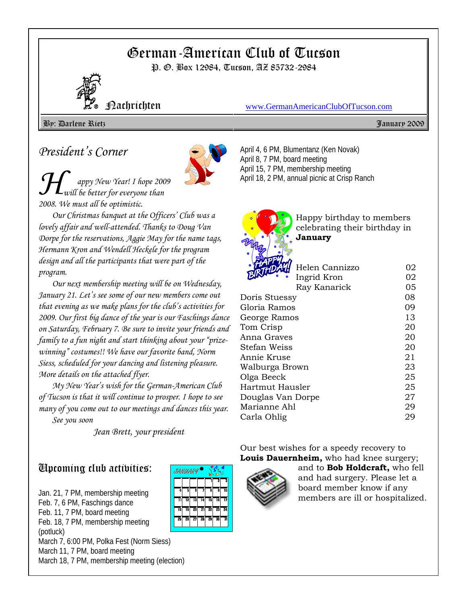# German-American Club of Tucson

P. O. Box 12984, Tucson, AZ 85732-2984



Nachrichten www.GermanAmericanClubOfTucson.com

By: Darlene Rietz January 2009

# *President's Corner*



*H appy New Year! I hope 2009 will be better for everyone than 2008. We must all be optimistic.* 

*Our Christmas banquet at the Officers' Club was a lovely affair and well-attended. Thanks to Doug Van Dorpe for the reservations, Aggie May for the name tags, Hermann Kron and Wendell Heckele for the program design and all the participants that were part of the program.* 

*Our next membership meeting will be on Wednesday, January 21. Let's see some of our new members come out that evening as we make plans for the club's activities for 2009. Our first big dance of the year is our Faschings dance on Saturday, February 7. Be sure to invite your friends and family to a fun night and start thinking about your "prizewinning" costumes!! We have our favorite band, Norm Siess, scheduled for your dancing and listening pleasure. More details on the attached flyer.* 

*My New Year's wish for the German-American Club of Tucson is that it will continue to prosper. I hope to see many of you come out to our meetings and dances this year. See you soon* 

*Jean Brett, your president*

# Upcoming club activities:

Jan. 21, 7 PM, membership meeting Feb. 7, 6 PM, Faschings dance Feb. 11, 7 PM, board meeting Feb. 18, 7 PM, membership meeting (potluck) March 7, 6:00 PM, Polka Fest (Norm Siess) March 11, 7 PM, board meeting March 18, 7 PM, membership meeting (election)

| ۴<br>JANUARY |    |    |    |    |    |    |  |  |
|--------------|----|----|----|----|----|----|--|--|
|              |    |    |    |    | 2  | 3  |  |  |
| 4            | ī, | Ğ  | 7  | Ā  | ā  | īń |  |  |
|              | 12 | 13 | īā | īs | īß | 17 |  |  |
| 18           | 19 | 20 | 21 | 22 | 23 | 24 |  |  |
| 75           | 26 | 27 | 힒  | 29 | 30 | 31 |  |  |
|              |    |    |    |    |    |    |  |  |

April 4, 6 PM, Blumentanz (Ken Novak) April 8, 7 PM, board meeting April 15, 7 PM, membership meeting April 18, 2 PM, annual picnic at Crisp Ranch



Happy birthday to members celebrating their birthday in **January**

| Helen Cannizzo<br>تطلق | 02 |
|------------------------|----|
| Ingrid Kron            | 02 |
| Ray Kanarick           | 05 |
| Doris Stuessy          | 08 |
| Gloria Ramos           | 09 |
| George Ramos           | 13 |
| Tom Crisp              | 20 |
| Anna Graves            | 20 |
| Stefan Weiss           | 20 |
| Annie Kruse            | 21 |
| Walburga Brown         | 23 |
| Olga Beeck             | 25 |
| Hartmut Hausler        | 25 |
| Douglas Van Dorpe      | 27 |
| Marianne Ahl           | 29 |
| Carla Ohlig            | 29 |
|                        |    |

Our best wishes for a speedy recovery to **Louis Dauernheim,** who had knee surgery;



and to **Bob Holdcraft,** who fell and had surgery. Please let a board member know if any members are ill or hospitalized.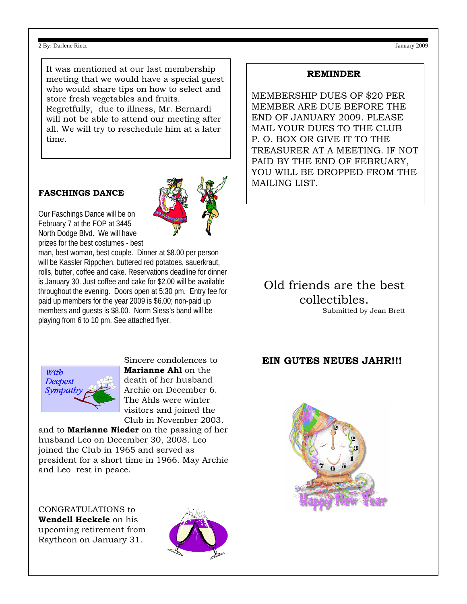#### 2 By: Darlene Rietz January 2009

It was mentioned at our last membership meeting that we would have a special guest who would share tips on how to select and store fresh vegetables and fruits. Regretfully, due to illness, Mr. Bernardi will not be able to attend our meeting after all. We will try to reschedule him at a later time.

#### **FASCHINGS DANCE**

Our Faschings Dance will be on February 7 at the FOP at 3445 North Dodge Blvd. We will have prizes for the best costumes - best

man, best woman, best couple. Dinner at \$8.00 per person will be Kassler Rippchen, buttered red potatoes, sauerkraut, rolls, butter, coffee and cake. Reservations deadline for dinner is January 30. Just coffee and cake for \$2.00 will be available throughout the evening. Doors open at 5:30 pm. Entry fee for paid up members for the year 2009 is \$6.00; non-paid up members and guests is \$8.00. Norm Siess's band will be playing from 6 to 10 pm. See attached flyer.

#### **REMINDER**

MEMBERSHIP DUES OF \$20 PER MEMBER ARE DUE BEFORE THE END OF JANUARY 2009. PLEASE MAIL YOUR DUES TO THE CLUB P. O. BOX OR GIVE IT TO THE TREASURER AT A MEETING. IF NOT PAID BY THE END OF FEBRUARY, YOU WILL BE DROPPED FROM THE MAILING LIST.

## Old friends are the best collectibles. Submitted by Jean Brett

### **EIN GUTES NEUES JAHR!!!**



Sincere condolences to **Marianne Ahl** on the death of her husband Archie on December 6. The Ahls were winter visitors and joined the Club in November 2003.

and to **Marianne Nieder** on the passing of her husband Leo on December 30, 2008. Leo joined the Club in 1965 and served as president for a short time in 1966. May Archie and Leo rest in peace.

CONGRATULATIONS to **Wendell Heckele** on his upcoming retirement from Raytheon on January 31.





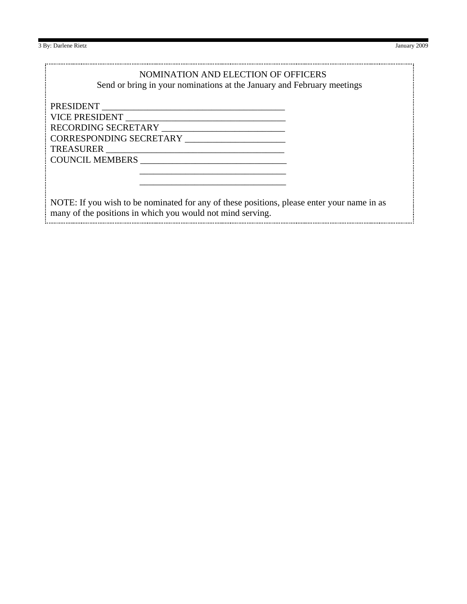3 By: Darlene Rietz January 2009

## NOMINATION AND ELECTION OF OFFICERS

Send or bring in your nominations at the January and February meetings

PRESIDENT **EXECUTE AND THE SET OF STATE AND SET OF STATE AND SET OF STATE AND SET OF STATE AND SET OF STATE AND SET OF STATE AND SET OF STATE AND SET OF STATE AND SET OF STATE AND SET OF STATE AND SET OF STATE AND SET OF S** VICE PRESIDENT **WE** RECORDING SECRETARY \_\_\_\_\_\_\_\_\_\_\_\_\_\_\_\_\_\_\_\_\_\_\_\_\_\_\_ CORRESPONDING SECRETARY \_\_\_\_\_\_\_\_\_\_\_\_\_\_\_\_\_\_\_\_\_\_ TREASURER \_\_\_\_\_\_\_\_\_\_\_\_\_\_\_\_\_\_\_\_\_\_\_\_\_\_\_\_\_\_\_\_\_\_\_\_\_\_\_ COUNCIL MEMBERS \_\_\_\_\_\_\_\_\_\_\_\_\_\_\_\_\_\_\_\_\_\_\_\_\_\_\_\_\_\_\_\_

NOTE: If you wish to be nominated for any of these positions, please enter your name in as many of the positions in which you would not mind serving.